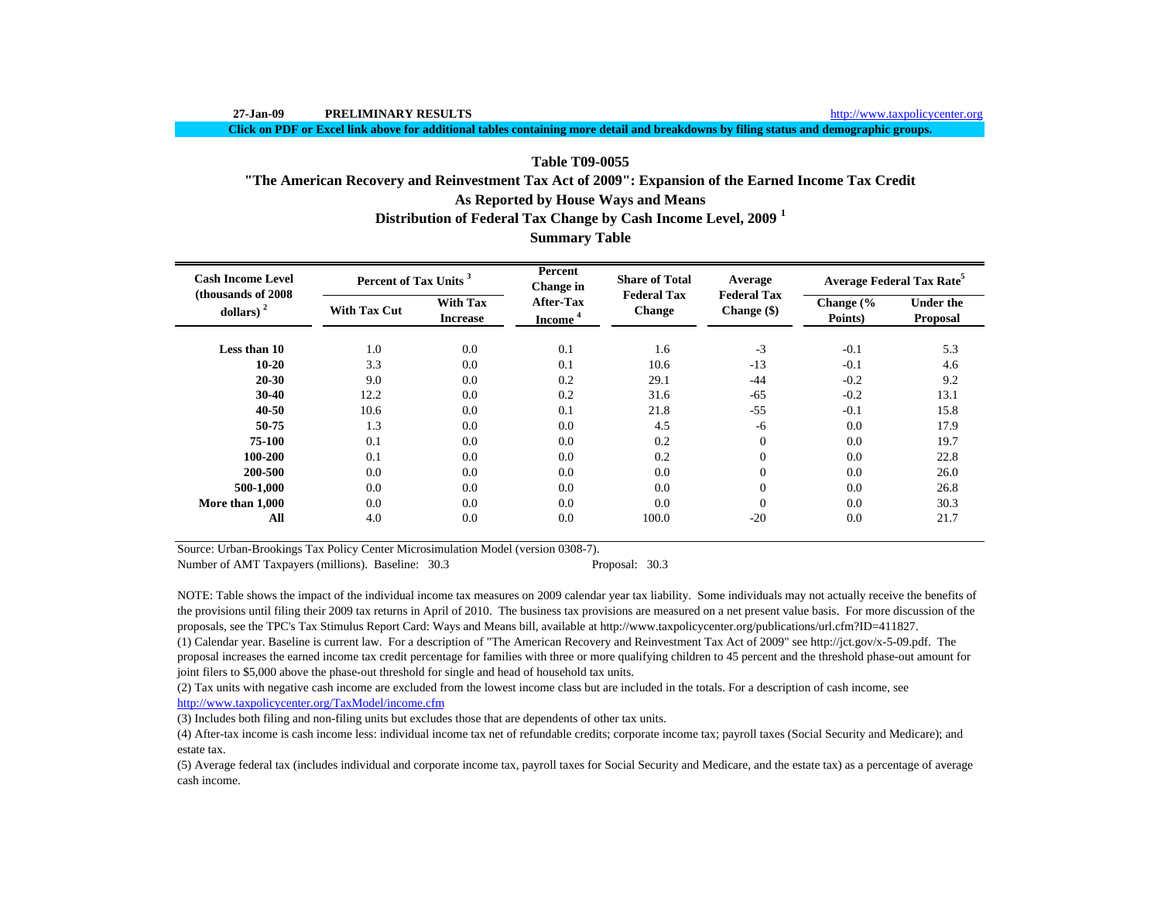j.

**Click on PDF or Excel link above for additional tables containing more detail and breakdowns by filing status and demographic groups.**

# **Table T09-0055**

# **As Reported by House Ways and Means "The American Recovery and Reinvestment Tax Act of 2009": Expansion of the Earned Income Tax Credit**

**Distribution of Federal Tax Change by Cash Income Level, 2009 <sup>1</sup>**

# **Summary Table**

| <b>Cash Income Level</b><br>(thousands of 2008) | Percent of Tax Units <sup>3</sup> |                                    | Percent<br>Change in                    | <b>Share of Total</b><br><b>Federal Tax</b> | Average                             |                                 | <b>Average Federal Tax Rate<sup>5</sup></b> |
|-------------------------------------------------|-----------------------------------|------------------------------------|-----------------------------------------|---------------------------------------------|-------------------------------------|---------------------------------|---------------------------------------------|
| dollars) $2$                                    | <b>With Tax Cut</b>               | <b>With Tax</b><br><b>Increase</b> | <b>After-Tax</b><br>Income <sup>4</sup> | <b>Change</b>                               | <b>Federal Tax</b><br>$Change($ \$) | Change $\frac{6}{6}$<br>Points) | <b>Under the</b><br><b>Proposal</b>         |
| Less than 10                                    | 1.0                               | 0.0                                | 0.1                                     | 1.6                                         | $-3$                                | $-0.1$                          | 5.3                                         |
| $10 - 20$                                       | 3.3                               | 0.0                                | 0.1                                     | 10.6                                        | $-13$                               | $-0.1$                          | 4.6                                         |
| 20-30                                           | 9.0                               | 0.0                                | 0.2                                     | 29.1                                        | $-44$                               | $-0.2$                          | 9.2                                         |
| $30 - 40$                                       | 12.2                              | 0.0                                | 0.2                                     | 31.6                                        | $-65$                               | $-0.2$                          | 13.1                                        |
| 40-50                                           | 10.6                              | 0.0                                | 0.1                                     | 21.8                                        | $-55$                               | $-0.1$                          | 15.8                                        |
| 50-75                                           | 1.3                               | 0.0                                | 0.0                                     | 4.5                                         | $-6$                                | 0.0                             | 17.9                                        |
| 75-100                                          | 0.1                               | 0.0                                | 0.0                                     | 0.2                                         | $\overline{0}$                      | 0.0                             | 19.7                                        |
| 100-200                                         | 0.1                               | 0.0                                | 0.0                                     | 0.2                                         | $\overline{0}$                      | 0.0                             | 22.8                                        |
| 200-500                                         | 0.0                               | 0.0                                | 0.0                                     | 0.0                                         | $\overline{0}$                      | 0.0                             | 26.0                                        |
| 500-1,000                                       | 0.0                               | 0.0                                | 0.0                                     | 0.0                                         | $\overline{0}$                      | 0.0                             | 26.8                                        |
| More than 1.000                                 | 0.0                               | 0.0                                | 0.0                                     | 0.0                                         | $\theta$                            | 0.0                             | 30.3                                        |
| All                                             | 4.0                               | 0.0                                | 0.0                                     | 100.0                                       | $-20$                               | 0.0                             | 21.7                                        |

Source: Urban-Brookings Tax Policy Center Microsimulation Model (version 0308-7).

Number of AMT Taxpayers (millions). Baseline: 30.3 Proposal: 30.3

NOTE: Table shows the impact of the individual income tax measures on 2009 calendar year tax liability. Some individuals may not actually receive the benefits of the provisions until filing their 2009 tax returns in April of 2010. The business tax provisions are measured on a net present value basis. For more discussion of the proposals, see the TPC's Tax Stimulus Report Card: Ways and Means bill, available at http://www.taxpolicycenter.org/publications/url.cfm?ID=411827.

(1) Calendar year. Baseline is current law. For a description of "The American Recovery and Reinvestment Tax Act of 2009" see http://jct.gov/x-5-09.pdf. The proposal increases the earned income tax credit percentage for families with three or more qualifying children to 45 percent and the threshold phase-out amount for joint filers to \$5,000 above the phase-out threshold for single and head of household tax units.

(2) Tax units with negative cash income are excluded from the lowest income class but are included in the totals. For a description of cash income, see http://www.taxpolicycenter.org/TaxModel/income.cfm

(3) Includes both filing and non-filing units but excludes those that are dependents of other tax units.

(4) After-tax income is cash income less: individual income tax net of refundable credits; corporate income tax; payroll taxes (Social Security and Medicare); and estate tax.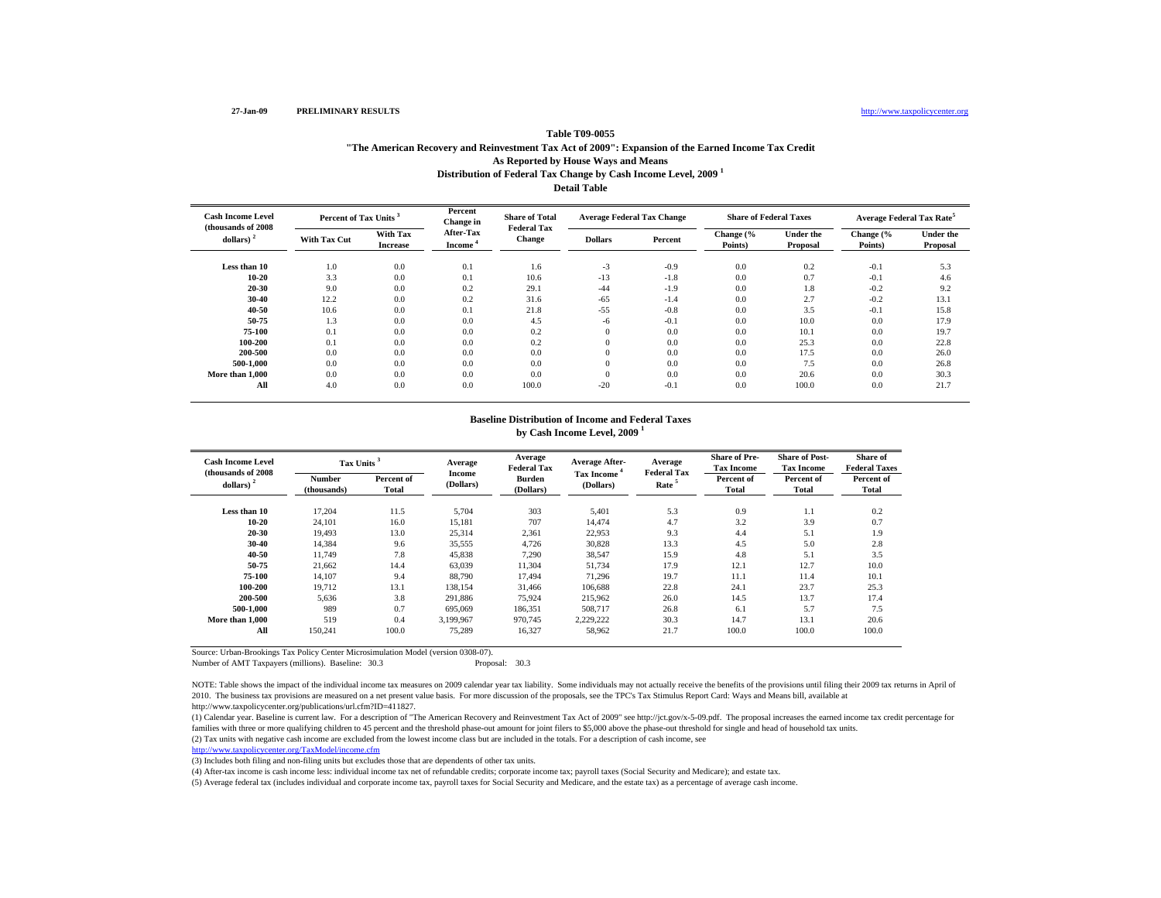### http://www.taxpolicycenter.org

# **Distribution of Federal Tax Change by Cash Income Level, 2009 <sup>1</sup> Detail TableTable T09-0055"The American Recovery and Reinvestment Tax Act of 2009": Expansion of the Earned Income Tax Credit As Reported by House Ways and Means**

| <b>Cash Income Level</b><br>(thousands of 2008) |                     | Percent of Tax Units <sup>3</sup> |                                  | <b>Share of Total</b><br><b>Federal Tax</b> | <b>Average Federal Tax Change</b> |         | <b>Share of Federal Taxes</b> |                              | Average Federal Tax Rate <sup>5</sup> |                              |
|-------------------------------------------------|---------------------|-----------------------------------|----------------------------------|---------------------------------------------|-----------------------------------|---------|-------------------------------|------------------------------|---------------------------------------|------------------------------|
| dollars) $2$                                    | <b>With Tax Cut</b> | With Tax<br><b>Increase</b>       | After-Tax<br>Income <sup>-</sup> | <b>Change</b>                               | <b>Dollars</b>                    | Percent | Change (%<br>Points)          | <b>Under the</b><br>Proposal | Change (%<br>Points)                  | <b>Under the</b><br>Proposal |
| Less than 10                                    | 1.0                 | 0.0                               | 0.1                              | 1.6                                         | $-3$                              | $-0.9$  | 0.0                           | 0.2                          | $-0.1$                                | 5.3                          |
| $10 - 20$                                       | 3.3                 | 0.0                               | 0.1                              | 10.6                                        | $-13$                             | $-1.8$  | 0.0                           | 0.7                          | $-0.1$                                | 4.6                          |
| $20 - 30$                                       | 9.0                 | 0.0                               | 0.2                              | 29.1                                        | $-44$                             | $-1.9$  | 0.0                           | 1.8                          | $-0.2$                                | 9.2                          |
| $30 - 40$                                       | 12.2                | 0.0                               | 0.2                              | 31.6                                        | $-65$                             | $-1.4$  | 0.0                           | 2.7                          | $-0.2$                                | 13.1                         |
| 40-50                                           | 10.6                | 0.0                               | 0.1                              | 21.8                                        | $-55$                             | $-0.8$  | 0.0                           | 3.5                          | $-0.1$                                | 15.8                         |
| 50-75                                           | 1.3                 | 0.0                               | 0.0                              | 4.5                                         | $-6$                              | $-0.1$  | 0.0                           | 10.0                         | 0.0                                   | 17.9                         |
| 75-100                                          | 0.1                 | 0.0                               | 0.0                              | 0.2                                         | $\mathbf{0}$                      | 0.0     | 0.0                           | 10.1                         | 0.0                                   | 19.7                         |
| 100-200                                         | 0.1                 | 0.0                               | 0.0                              | 0.2                                         |                                   | 0.0     | 0.0                           | 25.3                         | 0.0                                   | 22.8                         |
| 200-500                                         | 0.0                 | 0.0                               | 0.0                              | 0.0                                         |                                   | 0.0     | 0.0                           | 17.5                         | 0.0                                   | 26.0                         |
| 500-1.000                                       | 0.0                 | 0.0                               | 0.0                              | 0.0                                         | $\Omega$                          | 0.0     | 0.0                           | 7.5                          | 0.0                                   | 26.8                         |
| More than 1,000                                 | 0.0                 | 0.0                               | 0.0                              | 0.0                                         |                                   | 0.0     | 0.0                           | 20.6                         | 0.0                                   | 30.3                         |
| All                                             | 4.0                 | 0.0                               | 0.0                              | 100.0                                       | $-20$                             | $-0.1$  | 0.0                           | 100.0                        | 0.0                                   | 21.7                         |

#### **Baseline Distribution of Income and Federal Taxes by Cash Income Level, 2009 <sup>1</sup>**

| <b>Cash Income Level</b><br>(thousands of 2008) | Tax Units <sup>3</sup> |                            | Average<br>Income | Average<br><b>Federal Tax</b> | <b>Average After-</b>          | Average<br><b>Federal Tax</b> | <b>Share of Pre-</b><br><b>Tax Income</b> | <b>Share of Post-</b><br><b>Tax Income</b> | Share of<br><b>Federal Taxes</b> |
|-------------------------------------------------|------------------------|----------------------------|-------------------|-------------------------------|--------------------------------|-------------------------------|-------------------------------------------|--------------------------------------------|----------------------------------|
| dollars) $2$                                    | Number<br>(thousands)  | Percent of<br><b>Total</b> | (Dollars)         | <b>Burden</b><br>(Dollars)    | <b>Tax Income</b><br>(Dollars) | Rate <sup>5</sup>             | Percent of<br>Total                       | Percent of<br>Total                        | Percent of<br>Total              |
| Less than 10                                    | 17.204                 | 11.5                       | 5,704             | 303                           | 5,401                          | 5.3                           | 0.9                                       | 1.1                                        | 0.2                              |
| $10 - 20$                                       | 24.101                 | 16.0                       | 15,181            | 707                           | 14.474                         | 4.7                           | 3.2                                       | 3.9                                        | 0.7                              |
| $20 - 30$                                       | 19.493                 | 13.0                       | 25,314            | 2,361                         | 22.953                         | 9.3                           | 4.4                                       | 5.1                                        | 1.9                              |
| $30 - 40$                                       | 14,384                 | 9.6                        | 35,555            | 4,726                         | 30,828                         | 13.3                          | 4.5                                       | 5.0                                        | 2.8                              |
| 40-50                                           | 11,749                 | 7.8                        | 45,838            | 7,290                         | 38,547                         | 15.9                          | 4.8                                       | 5.1                                        | 3.5                              |
| 50-75                                           | 21,662                 | 14.4                       | 63,039            | 11,304                        | 51,734                         | 17.9                          | 12.1                                      | 12.7                                       | 10.0                             |
| 75-100                                          | 14,107                 | 9.4                        | 88,790            | 17,494                        | 71,296                         | 19.7                          | 11.1                                      | 11.4                                       | 10.1                             |
| 100-200                                         | 19.712                 | 13.1                       | 138,154           | 31.466                        | 106.688                        | 22.8                          | 24.1                                      | 23.7                                       | 25.3                             |
| 200-500                                         | 5,636                  | 3.8                        | 291,886           | 75,924                        | 215.962                        | 26.0                          | 14.5                                      | 13.7                                       | 17.4                             |
| 500-1.000                                       | 989                    | 0.7                        | 695,069           | 186,351                       | 508,717                        | 26.8                          | 6.1                                       | 5.7                                        | 7.5                              |
| More than 1,000                                 | 519                    | 0.4                        | 3.199.967         | 970,745                       | 2.229.222                      | 30.3                          | 14.7                                      | 13.1                                       | 20.6                             |
| All                                             | 150,241                | 100.0                      | 75,289            | 16,327                        | 58,962                         | 21.7                          | 100.0                                     | 100.0                                      | 100.0                            |

Source: Urban-Brookings Tax Policy Center Microsimulation Model (version 0308-07).

Number of AMT Taxpayers (millions). Baseline: 30.3 Proposal: 30.3

NOTE: Table shows the impact of the individual income tax measures on 2009 calendar year tax liability. Some individuals may not actually receive the benefits of the provisions until filing their 2009 tax returns in April 2010. The business tax provisions are measured on a net present value basis. For more discussion of the proposals, see the TPC's Tax Stimulus Report Card: Ways and Means bill, available at http://www.taxpolicycenter.org/publications/url.cfm?ID=411827.

(1) Calendar year. Baseline is current law. For a description of "The American Recovery and Reinvestment Tax Act of 2009" see http://jct.gov/x-5-09.pdf. The proposal increases the earned income tax credit percentage for families with three or more qualifying children to 45 percent and the threshold phase-out amount for joint filers to \$5,000 above the phase-out threshold for single and head of household tax units.

(2) Tax units with negative cash income are excluded from the lowest income class but are included in the totals. For a description of cash income, see

http://www.taxpolicycenter.org/TaxModel/income.cfm

(3) Includes both filing and non-filing units but excludes those that are dependents of other tax units.

(4) After-tax income is cash income less: individual income tax net of refundable credits; corporate income tax; payroll taxes (Social Security and Medicare); and estate tax.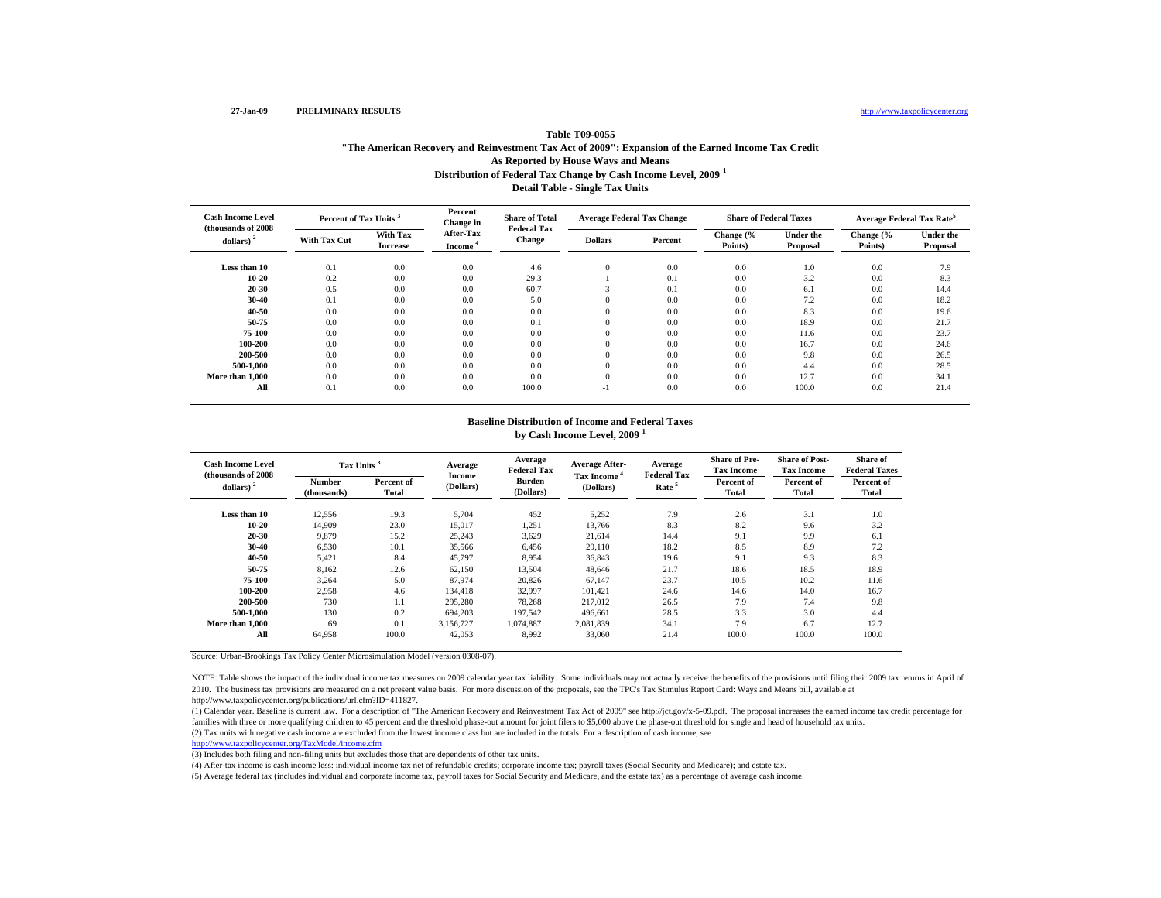### http://www.taxpolicycenter.org

# **Distribution of Federal Tax Change by Cash Income Level, 2009 <sup>1</sup> Detail Table - Single Tax Units Table T09-0055"The American Recovery and Reinvestment Tax Act of 2009": Expansion of the Earned Income Tax Credit As Reported by House Ways and Means**

| <b>Cash Income Level</b><br>(thousands of 2008) |                     | Percent of Tax Units        |                                  | <b>Share of Total</b><br><b>Federal Tax</b> | <b>Average Federal Tax Change</b> |         | <b>Share of Federal Taxes</b> |                              | <b>Average Federal Tax Rate</b> |                              |
|-------------------------------------------------|---------------------|-----------------------------|----------------------------------|---------------------------------------------|-----------------------------------|---------|-------------------------------|------------------------------|---------------------------------|------------------------------|
| dollars)                                        | <b>With Tax Cut</b> | With Tax<br><b>Increase</b> | After-Tax<br>Income <sup>4</sup> | Change                                      | <b>Dollars</b>                    | Percent | Change (%<br>Points)          | <b>Under the</b><br>Proposal | Change (%<br>Points)            | <b>Under the</b><br>Proposal |
| Less than 10                                    | 0.1                 | 0.0                         | 0.0                              | 4.6                                         | $\mathbf{0}$                      | 0.0     | 0.0                           | 1.0                          | 0.0                             | 7.9                          |
| $10 - 20$                                       | 0.2                 | 0.0                         | 0.0                              | 29.3                                        | $-1$                              | $-0.1$  | 0.0                           | 3.2                          | 0.0                             | 8.3                          |
| $20 - 30$                                       | 0.5                 | 0.0                         | 0.0                              | 60.7                                        | $-3$                              | $-0.1$  | 0.0                           | 6.1                          | 0.0                             | 14.4                         |
| $30 - 40$                                       | 0.1                 | 0.0                         | 0.0                              | 5.0                                         | $\mathbf{0}$                      | 0.0     | 0.0                           | 7.2                          | 0.0                             | 18.2                         |
| 40-50                                           | 0.0                 | 0.0                         | 0.0                              | 0.0                                         | $\overline{0}$                    | 0.0     | 0.0                           | 8.3                          | 0.0                             | 19.6                         |
| 50-75                                           | 0.0                 | 0.0                         | 0.0                              | 0.1                                         | $\theta$                          | 0.0     | 0.0                           | 18.9                         | 0.0                             | 21.7                         |
| 75-100                                          | 0.0                 | 0.0                         | 0.0                              | 0.0                                         | $\theta$                          | 0.0     | 0.0                           | 11.6                         | 0.0                             | 23.7                         |
| 100-200                                         | 0.0                 | 0.0                         | 0.0                              | 0.0                                         | $\theta$                          | 0.0     | 0.0                           | 16.7                         | 0.0                             | 24.6                         |
| 200-500                                         | 0.0                 | 0.0                         | 0.0                              | 0.0                                         | $\overline{0}$                    | 0.0     | 0.0                           | 9.8                          | 0.0                             | 26.5                         |
| 500-1,000                                       | 0.0                 | 0.0                         | 0.0                              | 0.0                                         | $\theta$                          | 0.0     | 0.0                           | 4.4                          | 0.0                             | 28.5                         |
| More than 1,000                                 | 0.0                 | 0.0                         | 0.0                              | 0.0                                         | $\mathbf{0}$                      | 0.0     | 0.0                           | 12.7                         | 0.0                             | 34.1                         |
| All                                             | 0.1                 | 0.0                         | 0.0                              | 100.0                                       | $-1$                              | 0.0     | 0.0                           | 100.0                        | 0.0                             | 21.4                         |

#### **Baseline Distribution of Income and Federal Taxes by Cash Income Level, 2009 <sup>1</sup>**

| <b>Cash Income Level</b><br>(thousands of 2008) | Tax Units <sup>3</sup>       |                     | Average<br><b>Income</b> | Average<br><b>Federal Tax</b> | <b>Average After-</b>          | Average<br><b>Federal Tax</b> | <b>Share of Pre-</b><br><b>Tax Income</b> | <b>Share of Post-</b><br><b>Tax Income</b> | Share of<br><b>Federal Taxes</b> |
|-------------------------------------------------|------------------------------|---------------------|--------------------------|-------------------------------|--------------------------------|-------------------------------|-------------------------------------------|--------------------------------------------|----------------------------------|
| dollars) $2$                                    | <b>Number</b><br>(thousands) | Percent of<br>Total | (Dollars)                | <b>Burden</b><br>(Dollars)    | <b>Tax Income</b><br>(Dollars) | Rate <sup>5</sup>             | Percent of<br>Total                       | Percent of<br>Total                        | Percent of<br>Total              |
| Less than 10                                    | 12,556                       | 19.3                | 5,704                    | 452                           | 5,252                          | 7.9                           | 2.6                                       | 3.1                                        | 1.0                              |
| $10 - 20$                                       | 14,909                       | 23.0                | 15,017                   | 1,251                         | 13,766                         | 8.3                           | 8.2                                       | 9.6                                        | 3.2                              |
| 20-30                                           | 9.879                        | 15.2                | 25,243                   | 3,629                         | 21.614                         | 14.4                          | 9.1                                       | 9.9                                        | 6.1                              |
| 30-40                                           | 6,530                        | 10.1                | 35,566                   | 6,456                         | 29,110                         | 18.2                          | 8.5                                       | 8.9                                        | 7.2                              |
| 40-50                                           | 5,421                        | 8.4                 | 45,797                   | 8.954                         | 36.843                         | 19.6                          | 9.1                                       | 9.3                                        | 8.3                              |
| 50-75                                           | 8,162                        | 12.6                | 62,150                   | 13,504                        | 48,646                         | 21.7                          | 18.6                                      | 18.5                                       | 18.9                             |
| 75-100                                          | 3,264                        | 5.0                 | 87,974                   | 20,826                        | 67,147                         | 23.7                          | 10.5                                      | 10.2                                       | 11.6                             |
| 100-200                                         | 2,958                        | 4.6                 | 134.418                  | 32,997                        | 101,421                        | 24.6                          | 14.6                                      | 14.0                                       | 16.7                             |
| 200-500                                         | 730                          | 1.1                 | 295,280                  | 78.268                        | 217,012                        | 26.5                          | 7.9                                       | 7.4                                        | 9.8                              |
| 500-1.000                                       | 130                          | 0.2                 | 694,203                  | 197,542                       | 496,661                        | 28.5                          | 3.3                                       | 3.0                                        | 4.4                              |
| More than 1.000                                 | 69                           | 0.1                 | 3.156.727                | 1.074.887                     | 2.081.839                      | 34.1                          | 7.9                                       | 6.7                                        | 12.7                             |
| All                                             | 64,958                       | 100.0               | 42,053                   | 8,992                         | 33,060                         | 21.4                          | 100.0                                     | 100.0                                      | 100.0                            |

Source: Urban-Brookings Tax Policy Center Microsimulation Model (version 0308-07).

NOTE: Table shows the impact of the individual income tax measures on 2009 calendar year tax liability. Some individuals may not actually receive the benefits of the provisions until filing their 2009 tax returns in April 2010. The business tax provisions are measured on a net present value basis. For more discussion of the proposals, see the TPC's Tax Stimulus Report Card: Ways and Means bill, available at http://www.taxpolicycenter.org/publications/url.cfm?ID=411827.

(2) Tax units with negative cash income are excluded from the lowest income class but are included in the totals. For a description of cash income, see (1) Calendar year. Baseline is current law. For a description of "The American Recovery and Reinvestment Tax Act of 2009" see http://jct.gov/x-5-09.pdf. The proposal increases the earned income tax credit percentage for families with three or more qualifying children to 45 percent and the threshold phase-out amount for joint filers to \$5,000 above the phase-out threshold for single and head of household tax units.

http://www.taxpolicycenter.org/TaxModel/income.cfm

(3) Includes both filing and non-filing units but excludes those that are dependents of other tax units.

(4) After-tax income is cash income less: individual income tax net of refundable credits; corporate income tax; payroll taxes (Social Security and Medicare); and estate tax.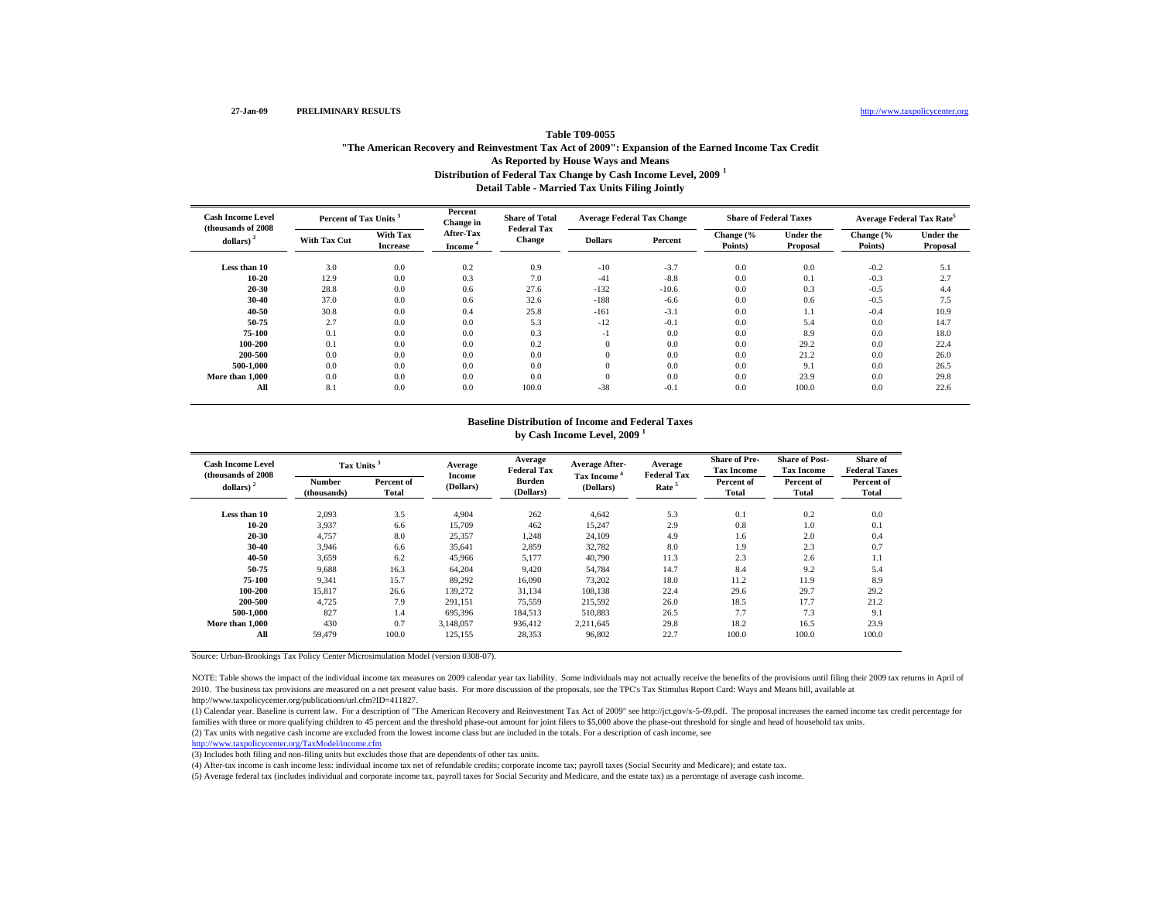### http://www.taxpolicycenter.org

# **Distribution of Federal Tax Change by Cash Income Level, 2009 <sup>1</sup> Detail Table - Married Tax Units Filing Jointly Table T09-0055"The American Recovery and Reinvestment Tax Act of 2009": Expansion of the Earned Income Tax Credit As Reported by House Ways and Means**

| <b>Cash Income Level</b><br>(thousands of 2008) |                     | Percent of Tax Units <sup>3</sup> |                                  | <b>Share of Total</b><br><b>Federal Tax</b> | <b>Average Federal Tax Change</b> |         | <b>Share of Federal Taxes</b> |                              | <b>Average Federal Tax Rate<sup>5</sup></b> |                              |
|-------------------------------------------------|---------------------|-----------------------------------|----------------------------------|---------------------------------------------|-----------------------------------|---------|-------------------------------|------------------------------|---------------------------------------------|------------------------------|
| dollars) $2$                                    | <b>With Tax Cut</b> | With Tax<br><b>Increase</b>       | After-Tax<br>Income <sup>4</sup> | <b>Change</b>                               | <b>Dollars</b>                    | Percent | Change (%<br>Points)          | <b>Under the</b><br>Proposal | Change (%<br>Points)                        | <b>Under the</b><br>Proposal |
| Less than 10                                    | 3.0                 | 0.0                               | 0.2                              | 0.9                                         | $-10$                             | $-3.7$  | 0.0                           | 0.0                          | $-0.2$                                      | 5.1                          |
| $10 - 20$                                       | 12.9                | 0.0                               | 0.3                              | 7.0                                         | $-41$                             | $-8.8$  | 0.0                           | 0.1                          | $-0.3$                                      | 2.7                          |
| 20-30                                           | 28.8                | 0.0                               | 0.6                              | 27.6                                        | $-132$                            | $-10.6$ | 0.0                           | 0.3                          | $-0.5$                                      | 4.4                          |
| 30-40                                           | 37.0                | 0.0                               | 0.6                              | 32.6                                        | $-188$                            | $-6.6$  | 0.0                           | 0.6                          | $-0.5$                                      | 7.5                          |
| 40-50                                           | 30.8                | 0.0                               | 0.4                              | 25.8                                        | $-161$                            | $-3.1$  | 0.0                           | 1.1                          | $-0.4$                                      | 10.9                         |
| 50-75                                           | 2.7                 | 0.0                               | 0.0                              | 5.3                                         | $-12$                             | $-0.1$  | 0.0                           | 5.4                          | 0.0                                         | 14.7                         |
| 75-100                                          | 0.1                 | 0.0                               | 0.0                              | 0.3                                         | ÷ I                               | 0.0     | 0.0                           | 8.9                          | 0.0                                         | 18.0                         |
| 100-200                                         | 0.1                 | 0.0                               | 0.0                              | 0.2                                         | $\mathbf{0}$                      | 0.0     | 0.0                           | 29.2                         | 0.0                                         | 22.4                         |
| 200-500                                         | 0.0                 | 0.0                               | 0.0                              | 0.0                                         | $\Omega$                          | 0.0     | 0.0                           | 21.2                         | 0.0                                         | 26.0                         |
| 500-1.000                                       | 0.0                 | 0.0                               | 0.0                              | 0.0                                         | $\Omega$                          | 0.0     | 0.0                           | 9.1                          | 0.0                                         | 26.5                         |
| More than 1.000                                 | 0.0                 | 0.0                               | 0.0                              | 0.0                                         | $\Omega$                          | 0.0     | 0.0                           | 23.9                         | 0.0                                         | 29.8                         |
| All                                             | 8.1                 | 0.0                               | 0.0                              | 100.0                                       | $-38$                             | $-0.1$  | 0.0                           | 100.0                        | 0.0                                         | 22.6                         |

#### **Baseline Distribution of Income and Federal Taxes by Cash Income Level, 2009 <sup>1</sup>**

| <b>Cash Income Level</b><br>(thousands of 2008) | Tax Units <sup>3</sup>       |                     | Average<br>Income | Average<br><b>Federal Tax</b> | <b>Average After-</b>          | Average<br><b>Federal Tax</b> | <b>Share of Pre-</b><br><b>Tax Income</b> | <b>Share of Post-</b><br><b>Tax Income</b> | Share of<br><b>Federal Taxes</b> |
|-------------------------------------------------|------------------------------|---------------------|-------------------|-------------------------------|--------------------------------|-------------------------------|-------------------------------------------|--------------------------------------------|----------------------------------|
| dollars) $2$                                    | <b>Number</b><br>(thousands) | Percent of<br>Total | (Dollars)         | <b>Burden</b><br>(Dollars)    | <b>Tax Income</b><br>(Dollars) | Rate <sup>5</sup>             | Percent of<br><b>Total</b>                | Percent of<br><b>Total</b>                 | Percent of<br>Total              |
| Less than 10                                    | 2,093                        | 3.5                 | 4,904             | 262                           | 4,642                          | 5.3                           | 0.1                                       | 0.2                                        | 0.0                              |
| $10 - 20$                                       | 3,937                        | 6.6                 | 15,709            | 462                           | 15,247                         | 2.9                           | 0.8                                       | 1.0                                        | 0.1                              |
| 20-30                                           | 4,757                        | 8.0                 | 25,357            | 1,248                         | 24.109                         | 4.9                           | 1.6                                       | 2.0                                        | 0.4                              |
| 30-40                                           | 3.946                        | 6.6                 | 35,641            | 2,859                         | 32,782                         | 8.0                           | 1.9                                       | 2.3                                        | 0.7                              |
| 40-50                                           | 3,659                        | 6.2                 | 45,966            | 5,177                         | 40,790                         | 11.3                          | 2.3                                       | 2.6                                        | 1.1                              |
| 50-75                                           | 9,688                        | 16.3                | 64,204            | 9,420                         | 54,784                         | 14.7                          | 8.4                                       | 9.2                                        | 5.4                              |
| 75-100                                          | 9,341                        | 15.7                | 89,292            | 16,090                        | 73,202                         | 18.0                          | 11.2                                      | 11.9                                       | 8.9                              |
| 100-200                                         | 15,817                       | 26.6                | 139,272           | 31,134                        | 108,138                        | 22.4                          | 29.6                                      | 29.7                                       | 29.2                             |
| 200-500                                         | 4,725                        | 7.9                 | 291,151           | 75,559                        | 215,592                        | 26.0                          | 18.5                                      | 17.7                                       | 21.2                             |
| 500-1.000                                       | 827                          | 1.4                 | 695,396           | 184,513                       | 510,883                        | 26.5                          | 7.7                                       | 7.3                                        | 9.1                              |
| More than 1.000                                 | 430                          | 0.7                 | 3.148.057         | 936.412                       | 2.211.645                      | 29.8                          | 18.2                                      | 16.5                                       | 23.9                             |
| All                                             | 59.479                       | 100.0               | 125,155           | 28,353                        | 96,802                         | 22.7                          | 100.0                                     | 100.0                                      | 100.0                            |

Source: Urban-Brookings Tax Policy Center Microsimulation Model (version 0308-07).

NOTE: Table shows the impact of the individual income tax measures on 2009 calendar year tax liability. Some individuals may not actually receive the benefits of the provisions until filing their 2009 tax returns in April 2010. The business tax provisions are measured on a net present value basis. For more discussion of the proposals, see the TPC's Tax Stimulus Report Card: Ways and Means bill, available at http://www.taxpolicycenter.org/publications/url.cfm?ID=411827.

(1) Calendar year. Baseline is current law. For a description of "The American Recovery and Reinvestment Tax Act of 2009" see http://jct.gov/x-5-09.pdf. The proposal increases the earned income tax credit percentage for families with three or more qualifying children to 45 percent and the threshold phase-out amount for joint filers to \$5,000 above the phase-out threshold for single and head of household tax units.

(2) Tax units with negative cash income are excluded from the lowest income class but are included in the totals. For a description of cash income, see

http://www.taxpolicycenter.org/TaxModel/income.cfm

(3) Includes both filing and non-filing units but excludes those that are dependents of other tax units.

(4) After-tax income is cash income less: individual income tax net of refundable credits; corporate income tax; payroll taxes (Social Security and Medicare); and estate tax.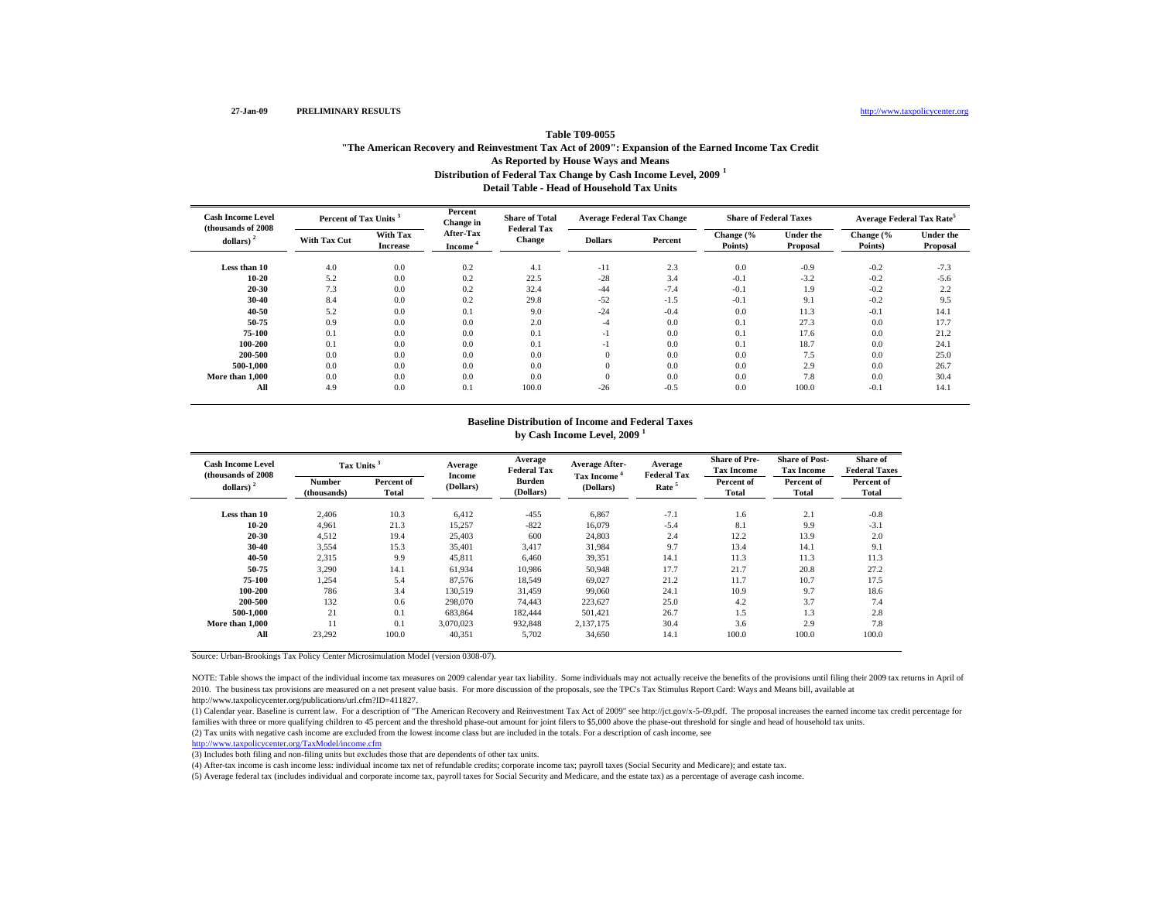### http://www.taxpolicycenter.org

# **Distribution of Federal Tax Change by Cash Income Level, 2009 <sup>1</sup> Detail Table - Head of Household Tax UnitsTable T09-0055"The American Recovery and Reinvestment Tax Act of 2009": Expansion of the Earned Income Tax Credit As Reported by House Ways and Means**

| <b>Cash Income Level</b><br>(thousands of 2008) | Percent of Tax Units <sup>3</sup> |                             | Percent<br>Change in             | <b>Share of Total</b><br><b>Federal Tax</b> |                | <b>Average Federal Tax Change</b> | <b>Share of Federal Taxes</b> |                              | <b>Average Federal Tax Rate<sup>5</sup></b> |                              |
|-------------------------------------------------|-----------------------------------|-----------------------------|----------------------------------|---------------------------------------------|----------------|-----------------------------------|-------------------------------|------------------------------|---------------------------------------------|------------------------------|
| dollars) $2$                                    | <b>With Tax Cut</b>               | With Tax<br><b>Increase</b> | After-Tax<br>Income <sup>4</sup> | <b>Change</b>                               | <b>Dollars</b> | Percent                           | Change (%<br>Points)          | <b>Under the</b><br>Proposal | Change (%<br>Points)                        | <b>Under the</b><br>Proposal |
| Less than 10                                    | 4.0                               | 0.0                         | 0.2                              | 4.1                                         | $-11$          | 2.3                               | 0.0                           | $-0.9$                       | $-0.2$                                      | $-7.3$                       |
| $10 - 20$                                       | 5.2                               | 0.0                         | 0.2                              | 22.5                                        | $-28$          | 3.4                               | $-0.1$                        | $-3.2$                       | $-0.2$                                      | $-5.6$                       |
| $20 - 30$                                       | 7.3                               | 0.0                         | 0.2                              | 32.4                                        | $-44$          | $-7.4$                            | $-0.1$                        | 1.9                          | $-0.2$                                      | 2.2                          |
| 30-40                                           | 8.4                               | 0.0                         | 0.2                              | 29.8                                        | $-52$          | $-1.5$                            | $-0.1$                        | 9.1                          | $-0.2$                                      | 9.5                          |
| 40-50                                           | 5.2                               | 0.0                         | 0.1                              | 9.0                                         | $-24$          | $-0.4$                            | 0.0                           | 11.3                         | $-0.1$                                      | 14.1                         |
| 50-75                                           | 0.9                               | 0.0                         | 0.0                              | 2.0                                         | -4             | 0.0                               | 0.1                           | 27.3                         | 0.0                                         | 17.7                         |
| 75-100                                          | 0.1                               | 0.0                         | 0.0                              | 0.1                                         | $\overline{a}$ | 0.0                               | 0.1                           | 17.6                         | 0.0                                         | 21.2                         |
| 100-200                                         | 0.1                               | 0.0                         | 0.0                              | 0.1                                         | $\overline{a}$ | 0.0                               | 0.1                           | 18.7                         | 0.0                                         | 24.1                         |
| 200-500                                         | 0.0                               | 0.0                         | 0.0                              | 0.0                                         | $\Omega$       | 0.0                               | 0.0                           | 7.5                          | 0.0                                         | 25.0                         |
| 500-1.000                                       | 0.0                               | 0.0                         | 0.0                              | 0.0                                         | $\mathbf{0}$   | 0.0                               | 0.0                           | 2.9                          | 0.0                                         | 26.7                         |
| More than 1.000                                 | 0.0                               | 0.0                         | 0.0                              | 0.0                                         | $\Omega$       | 0.0                               | 0.0                           | 7.8                          | 0.0                                         | 30.4                         |
| All                                             | 4.9                               | 0.0                         | 0.1                              | 100.0                                       | $-26$          | $-0.5$                            | 0.0                           | 100.0                        | $-0.1$                                      | 14.1                         |

#### **Baseline Distribution of Income and Federal Taxes by Cash Income Level, 2009 <sup>1</sup>**

| <b>Cash Income Level</b><br>(thousands of 2008) |                       | Tax Units <sup>3</sup> |                            | Average<br><b>Federal Tax</b> | <b>Average After-</b>          | Average<br><b>Federal Tax</b> | <b>Share of Pre-</b><br><b>Tax Income</b> | <b>Share of Post-</b><br><b>Tax Income</b> | Share of<br><b>Federal Taxes</b> |
|-------------------------------------------------|-----------------------|------------------------|----------------------------|-------------------------------|--------------------------------|-------------------------------|-------------------------------------------|--------------------------------------------|----------------------------------|
| dollars) $2$                                    | Number<br>(thousands) | Percent of<br>Total    | <b>Income</b><br>(Dollars) | <b>Burden</b><br>(Dollars)    | <b>Tax Income</b><br>(Dollars) | Rate <sup>5</sup>             | Percent of<br>Total                       | Percent of<br>Total                        | Percent of<br>Total              |
| Less than 10                                    | 2,406                 | 10.3                   | 6,412                      | $-455$                        | 6,867                          | $-7.1$                        | 1.6                                       | 2.1                                        | $-0.8$                           |
| $10 - 20$                                       | 4.961                 | 21.3                   | 15,257                     | $-822$                        | 16,079                         | $-5.4$                        | 8.1                                       | 9.9                                        | $-3.1$                           |
| $20 - 30$                                       | 4.512                 | 19.4                   | 25,403                     | 600                           | 24,803                         | 2.4                           | 12.2                                      | 13.9                                       | 2.0                              |
| 30-40                                           | 3,554                 | 15.3                   | 35,401                     | 3.417                         | 31.984                         | 9.7                           | 13.4                                      | 14.1                                       | 9.1                              |
| 40-50                                           | 2,315                 | 9.9                    | 45,811                     | 6,460                         | 39,351                         | 14.1                          | 11.3                                      | 11.3                                       | 11.3                             |
| 50-75                                           | 3,290                 | 14.1                   | 61,934                     | 10,986                        | 50,948                         | 17.7                          | 21.7                                      | 20.8                                       | 27.2                             |
| 75-100                                          | 1,254                 | 5.4                    | 87,576                     | 18,549                        | 69,027                         | 21.2                          | 11.7                                      | 10.7                                       | 17.5                             |
| 100-200                                         | 786                   | 3.4                    | 130,519                    | 31,459                        | 99,060                         | 24.1                          | 10.9                                      | 9.7                                        | 18.6                             |
| 200-500                                         | 132                   | 0.6                    | 298,070                    | 74,443                        | 223,627                        | 25.0                          | 4.2                                       | 3.7                                        | 7.4                              |
| 500-1.000                                       | 21                    | 0.1                    | 683,864                    | 182.444                       | 501.421                        | 26.7                          | 1.5                                       | 1.3                                        | 2.8                              |
| More than 1,000                                 | 11                    | 0.1                    | 3.070.023                  | 932,848                       | 2.137.175                      | 30.4                          | 3.6                                       | 2.9                                        | 7.8                              |
| All                                             | 23,292                | 100.0                  | 40,351                     | 5,702                         | 34,650                         | 14.1                          | 100.0                                     | 100.0                                      | 100.0                            |

Source: Urban-Brookings Tax Policy Center Microsimulation Model (version 0308-07).

NOTE: Table shows the impact of the individual income tax measures on 2009 calendar year tax liability. Some individuals may not actually receive the benefits of the provisions until filing their 2009 tax returns in April 2010. The business tax provisions are measured on a net present value basis. For more discussion of the proposals, see the TPC's Tax Stimulus Report Card: Ways and Means bill, available at http://www.taxpolicycenter.org/publications/url.cfm?ID=411827.

(2) Tax units with negative cash income are excluded from the lowest income class but are included in the totals. For a description of cash income, see (1) Calendar year. Baseline is current law. For a description of "The American Recovery and Reinvestment Tax Act of 2009" see http://jct.gov/x-5-09.pdf. The proposal increases the earned income tax credit percentage for families with three or more qualifying children to 45 percent and the threshold phase-out amount for joint filers to \$5,000 above the phase-out threshold for single and head of household tax units.

http://www.taxpolicycenter.org/TaxModel/income.cfm (3) Includes both filing and non-filing units but excludes those that are dependents of other tax units.

(4) After-tax income is cash income less: individual income tax net of refundable credits; corporate income tax; payroll taxes (Social Security and Medicare); and estate tax.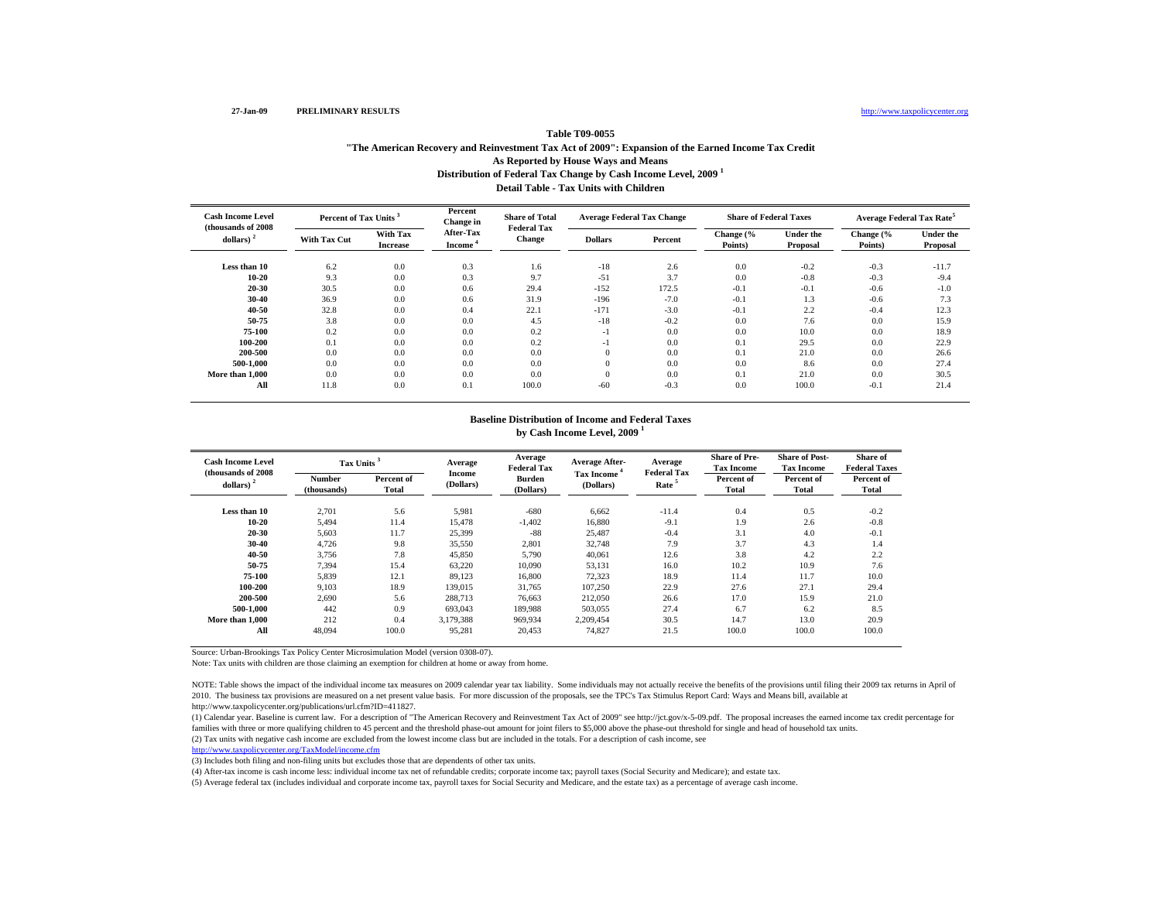# http://www.taxpolicycenter.org

# **Distribution of Federal Tax Change by Cash Income Level, 2009 <sup>1</sup> Detail Table - Tax Units with ChildrenTable T09-0055"The American Recovery and Reinvestment Tax Act of 2009": Expansion of the Earned Income Tax Credit As Reported by House Ways and Means**

| <b>Cash Income Level</b><br>(thousands of 2008) |                     | Percent of Tax Units <sup>3</sup> |                                  | <b>Share of Total</b><br><b>Federal Tax</b> | <b>Average Federal Tax Change</b> |         | <b>Share of Federal Taxes</b> |                              | Average Federal Tax Rate <sup>5</sup> |                       |
|-------------------------------------------------|---------------------|-----------------------------------|----------------------------------|---------------------------------------------|-----------------------------------|---------|-------------------------------|------------------------------|---------------------------------------|-----------------------|
| dollars) $2$                                    | <b>With Tax Cut</b> | With Tax<br><b>Increase</b>       | After-Tax<br>Income <sup>*</sup> | <b>Change</b>                               | <b>Dollars</b>                    | Percent | Change (%<br>Points)          | <b>Under the</b><br>Proposal | Change (%<br>Points)                  | Under the<br>Proposal |
| Less than 10                                    | 6.2                 | 0.0                               | 0.3                              | 1.6                                         | $-18$                             | 2.6     | 0.0                           | $-0.2$                       | $-0.3$                                | $-11.7$               |
| $10 - 20$                                       | 9.3                 | 0.0                               | 0.3                              | 9.7                                         | $-51$                             | 3.7     | 0.0                           | $-0.8$                       | $-0.3$                                | $-9.4$                |
| $20 - 30$                                       | 30.5                | 0.0                               | 0.6                              | 29.4                                        | $-152$                            | 172.5   | $-0.1$                        | $-0.1$                       | $-0.6$                                | $-1.0$                |
| $30 - 40$                                       | 36.9                | 0.0                               | 0.6                              | 31.9                                        | $-196$                            | $-7.0$  | $-0.1$                        | 1.3                          | $-0.6$                                | 7.3                   |
| $40 - 50$                                       | 32.8                | 0.0                               | 0.4                              | 22.1                                        | $-171$                            | $-3.0$  | $-0.1$                        | 2.2                          | $-0.4$                                | 12.3                  |
| 50-75                                           | 3.8                 | 0.0                               | 0.0                              | 4.5                                         | $-18$                             | $-0.2$  | 0.0                           | 7.6                          | 0.0                                   | 15.9                  |
| 75-100                                          | 0.2                 | 0.0                               | 0.0                              | 0.2                                         | $-1$                              | 0.0     | 0.0                           | 10.0                         | 0.0                                   | 18.9                  |
| 100-200                                         | 0.1                 | 0.0                               | 0.0                              | 0.2                                         | $-1$                              | 0.0     | 0.1                           | 29.5                         | 0.0                                   | 22.9                  |
| 200-500                                         | 0.0                 | 0.0                               | 0.0                              | 0.0                                         | $\mathbf{0}$                      | 0.0     | 0.1                           | 21.0                         | 0.0                                   | 26.6                  |
| 500-1.000                                       | 0.0                 | 0.0                               | 0.0                              | 0.0                                         | $\mathbf{0}$                      | 0.0     | 0.0                           | 8.6                          | 0.0                                   | 27.4                  |
| More than 1,000                                 | 0.0                 | 0.0                               | 0.0                              | 0.0                                         | $\Omega$                          | 0.0     | 0.1                           | 21.0                         | 0.0                                   | 30.5                  |
| All                                             | 11.8                | 0.0                               | 0.1                              | 100.0                                       | $-60$                             | $-0.3$  | 0.0                           | 100.0                        | $-0.1$                                | 21.4                  |

#### **Baseline Distribution of Income and Federal Taxes by Cash Income Level, 2009 <sup>1</sup>**

| <b>Cash Income Level</b><br>(thousands of 2008) | Tax Units <sup>3</sup> |                     | Average<br>Income | Average<br><b>Federal Tax</b> | <b>Average After-</b>          | Average<br><b>Federal Tax</b> | <b>Share of Pre-</b><br><b>Tax Income</b> | <b>Share of Post-</b><br><b>Tax Income</b> | <b>Share of</b><br><b>Federal Taxes</b> |
|-------------------------------------------------|------------------------|---------------------|-------------------|-------------------------------|--------------------------------|-------------------------------|-------------------------------------------|--------------------------------------------|-----------------------------------------|
| dollars) $2$                                    | Number<br>(thousands)  | Percent of<br>Total | (Dollars)         | <b>Burden</b><br>(Dollars)    | <b>Tax Income</b><br>(Dollars) | Rate <sup>5</sup>             | Percent of<br><b>Total</b>                | Percent of<br>Total                        | Percent of<br>Total                     |
| Less than 10                                    | 2,701                  | 5.6                 | 5,981             | $-680$                        | 6,662                          | $-11.4$                       | 0.4                                       | 0.5                                        | $-0.2$                                  |
| $10 - 20$                                       | 5.494                  | 11.4                | 15.478            | $-1,402$                      | 16.880                         | $-9.1$                        | 1.9                                       | 2.6                                        | $-0.8$                                  |
| $20 - 30$                                       | 5,603                  | 11.7                | 25,399            | $-88$                         | 25,487                         | $-0.4$                        | 3.1                                       | 4.0                                        | $-0.1$                                  |
| $30 - 40$                                       | 4,726                  | 9.8                 | 35,550            | 2,801                         | 32,748                         | 7.9                           | 3.7                                       | 4.3                                        | 1.4                                     |
| 40-50                                           | 3,756                  | 7.8                 | 45,850            | 5,790                         | 40,061                         | 12.6                          | 3.8                                       | 4.2                                        | 2.2                                     |
| 50-75                                           | 7,394                  | 15.4                | 63,220            | 10.090                        | 53,131                         | 16.0                          | 10.2                                      | 10.9                                       | 7.6                                     |
| 75-100                                          | 5,839                  | 12.1                | 89,123            | 16,800                        | 72,323                         | 18.9                          | 11.4                                      | 11.7                                       | 10.0                                    |
| 100-200                                         | 9.103                  | 18.9                | 139,015           | 31.765                        | 107.250                        | 22.9                          | 27.6                                      | 27.1                                       | 29.4                                    |
| 200-500                                         | 2,690                  | 5.6                 | 288,713           | 76,663                        | 212,050                        | 26.6                          | 17.0                                      | 15.9                                       | 21.0                                    |
| 500-1.000                                       | 442                    | 0.9                 | 693.043           | 189,988                       | 503,055                        | 27.4                          | 6.7                                       | 6.2                                        | 8.5                                     |
| More than 1,000                                 | 212                    | 0.4                 | 3.179.388         | 969.934                       | 2.209.454                      | 30.5                          | 14.7                                      | 13.0                                       | 20.9                                    |
| All                                             | 48.094                 | 100.0               | 95,281            | 20,453                        | 74.827                         | 21.5                          | 100.0                                     | 100.0                                      | 100.0                                   |

Source: Urban-Brookings Tax Policy Center Microsimulation Model (version 0308-07).

Note: Tax units with children are those claiming an exemption for children at home or away from home.

NOTE: Table shows the impact of the individual income tax measures on 2009 calendar year tax liability. Some individuals may not actually receive the benefits of the provisions until filing their 2009 tax returns in April 2010. The business tax provisions are measured on a net present value basis. For more discussion of the proposals, see the TPC's Tax Stimulus Report Card: Ways and Means bill, available at http://www.taxpolicycenter.org/publications/url.cfm?ID=411827.

(1) Calendar year. Baseline is current law. For a description of "The American Recovery and Reinvestment Tax Act of 2009" see http://jct.gov/x-5-09.pdf. The proposal increases the earned income tax credit percentage for families with three or more qualifying children to 45 percent and the threshold phase-out amount for joint filers to \$5,000 above the phase-out threshold for single and head of household tax units.

(2) Tax units with negative cash income are excluded from the lowest income class but are included in the totals. For a description of cash income, see

http://www.taxpolicycenter.org/TaxModel/income.cfm

(3) Includes both filing and non-filing units but excludes those that are dependents of other tax units.

(4) After-tax income is cash income less: individual income tax net of refundable credits; corporate income tax; payroll taxes (Social Security and Medicare); and estate tax.